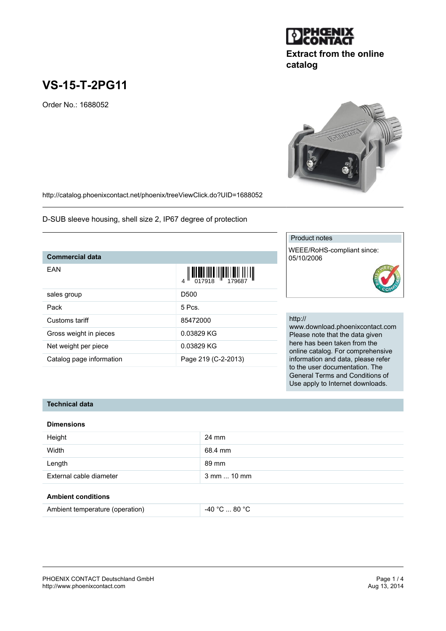# **VS-15-T-2PG11**

Order No.: 1688052

<http://catalog.phoenixcontact.net/phoenix/treeViewClick.do?UID=1688052>

D-SUB sleeve housing, shell size 2, IP67 degree of protection

### **Commercial data**

| EAN                      | $\left\  \prod_{017918} \prod_{1101} \prod_{129687} \prod_{130} \prod_{149687} \prod_{150087} \prod_{160087} \prod_{179687} \prod_{180087} \prod_{190087} \prod_{190087} \prod_{190087} \prod_{190087} \prod_{190087} \prod_{190087} \prod_{190087} \prod_{190087} \prod_{190087} \prod_{190087} \prod_{190087} \prod_{190087} \prod_{190087} \$ |
|--------------------------|--------------------------------------------------------------------------------------------------------------------------------------------------------------------------------------------------------------------------------------------------------------------------------------------------------------------------------------------------|
| sales group              | D500                                                                                                                                                                                                                                                                                                                                             |
| Pack                     | 5 Pcs.                                                                                                                                                                                                                                                                                                                                           |
| Customs tariff           | 85472000                                                                                                                                                                                                                                                                                                                                         |
| Gross weight in pieces   | 0.03829 KG                                                                                                                                                                                                                                                                                                                                       |
| Net weight per piece     | 0.03829 KG                                                                                                                                                                                                                                                                                                                                       |
| Catalog page information | Page 219 (C-2-2013)                                                                                                                                                                                                                                                                                                                              |

## Product notes

WEEE/RoHS-compliant since: 05/10/2006



# http://

www.download.phoenixcontact.com Please note that the data given here has been taken from the online catalog. For comprehensive information and data, please refer to the user documentation. The General Terms and Conditions of Use apply to Internet downloads.

#### **Technical data**

#### **Dimensions**

| Height                  | 24 mm                |
|-------------------------|----------------------|
| Width                   | 68.4 mm              |
| Length                  | 89 mm                |
| External cable diameter | $3$ mm $\dots$ 10 mm |
|                         |                      |

#### **Ambient conditions**



**catalog**

**Extract from the online**

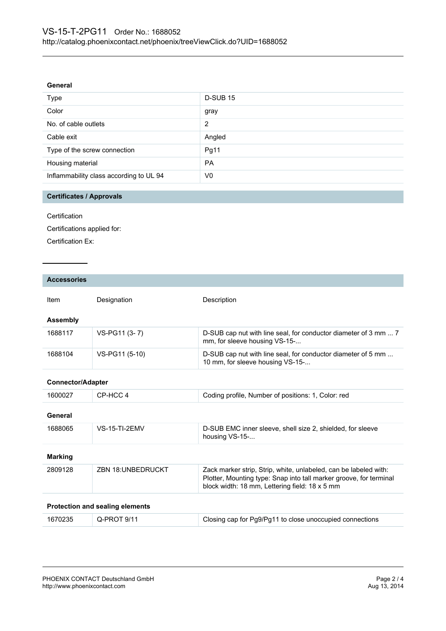#### **General**

| Type                                    | <b>D-SUB 15</b> |
|-----------------------------------------|-----------------|
| Color                                   | gray            |
| No. of cable outlets                    | 2               |
| Cable exit                              | Angled          |
| Type of the screw connection            | Pg11            |
| Housing material                        | <b>PA</b>       |
| Inflammability class according to UL 94 | V0              |

# **Certificates / Approvals**

**Certification** 

Certifications applied for:

Certification Ex:

| <b>Accessories</b>                     |                          |                                                                                                                                                                                          |
|----------------------------------------|--------------------------|------------------------------------------------------------------------------------------------------------------------------------------------------------------------------------------|
| Item                                   | Designation              | Description                                                                                                                                                                              |
| <b>Assembly</b>                        |                          |                                                                                                                                                                                          |
| 1688117                                | VS-PG11 (3-7)            | D-SUB cap nut with line seal, for conductor diameter of 3 mm  7<br>mm, for sleeve housing VS-15-                                                                                         |
| 1688104                                | VS-PG11 (5-10)           | D-SUB cap nut with line seal, for conductor diameter of 5 mm<br>10 mm, for sleeve housing VS-15-                                                                                         |
| <b>Connector/Adapter</b>               |                          |                                                                                                                                                                                          |
| 1600027                                | CP-HCC 4                 | Coding profile, Number of positions: 1, Color: red                                                                                                                                       |
| General                                |                          |                                                                                                                                                                                          |
| 1688065                                | <b>VS-15-TI-2FMV</b>     | D-SUB EMC inner sleeve, shell size 2, shielded, for sleeve<br>housing VS-15-                                                                                                             |
| <b>Marking</b>                         |                          |                                                                                                                                                                                          |
| 2809128                                | <b>ZBN 18:UNBEDRUCKT</b> | Zack marker strip, Strip, white, unlabeled, can be labeled with:<br>Plotter, Mounting type: Snap into tall marker groove, for terminal<br>block width: 18 mm, Lettering field: 18 x 5 mm |
| <b>Protection and sealing elements</b> |                          |                                                                                                                                                                                          |
| 1670235                                | Q-PROT 9/11              | Closing cap for Pg9/Pg11 to close unoccupied connections                                                                                                                                 |
|                                        |                          |                                                                                                                                                                                          |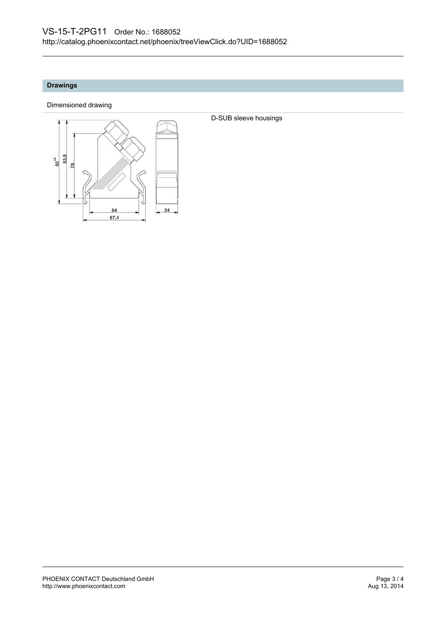# **Drawings**

Dimensioned drawing



D-SUB sleeve housings